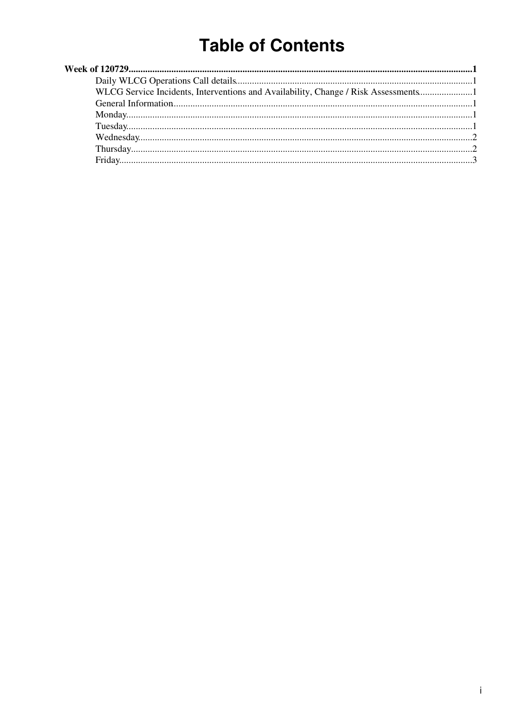# **Table of Contents**

| WLCG Service Incidents, Interventions and Availability, Change / Risk Assessments |  |
|-----------------------------------------------------------------------------------|--|
|                                                                                   |  |
|                                                                                   |  |
|                                                                                   |  |
|                                                                                   |  |
|                                                                                   |  |
|                                                                                   |  |
|                                                                                   |  |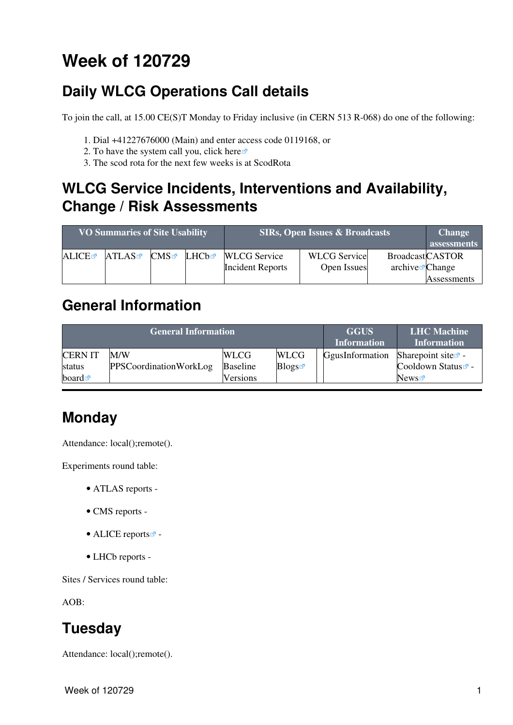# <span id="page-1-0"></span>**Week of 120729**

## <span id="page-1-1"></span>**Daily WLCG Operations Call details**

To join the call, at 15.00 CE(S)T Monday to Friday inclusive (in CERN 513 R-068) do one of the following:

- 1. Dial +41227676000 (Main) and enter access code 0119168, or
- 2. To have the system call you, click [here](https://audioconf.cern.ch/call/0119168) $\infty$
- 3. The scod rota for the next few weeks is at [ScodRota](https://twiki.cern.ch/twiki/bin/view/LCG/ScodRota)

### <span id="page-1-2"></span>**WLCG Service Incidents, Interventions and Availability, Change / Risk Assessments**

| <b>VO Summaries of Site Usability</b> |       |              |       | <b>SIRs, Open Issues &amp; Broadcasts</b>      | <b>Change</b><br>assessments       |                                                       |             |
|---------------------------------------|-------|--------------|-------|------------------------------------------------|------------------------------------|-------------------------------------------------------|-------------|
| ALICE                                 | ATLAS | $\text{CMS}$ | LHCb☞ | <b>WLCG</b> Service<br><b>Incident Reports</b> | <b>WLCG</b> Service<br>Open Issues | <b>BroadcastCASTOR</b><br>$\archive\mathbf{z}$ Change |             |
|                                       |       |              |       |                                                |                                    |                                                       | Assessments |

#### <span id="page-1-3"></span>**General Information**

|                                                 | <b>General Information</b>           | <b>GGUS</b><br><b>Information</b>          | <b>LHC</b> Machine<br><b>Information</b> |                 |                                                                  |
|-------------------------------------------------|--------------------------------------|--------------------------------------------|------------------------------------------|-----------------|------------------------------------------------------------------|
| <b>CERNIT</b><br>status<br>board $\blacksquare$ | M/W<br><b>PPSCoordinationWorkLog</b> | <b>WLCG</b><br><b>Baseline</b><br>Versions | <b>WLCG</b><br>Blogs                     | GgusInformation | Sharepoint site $\Phi$ -<br>Cooldown Status <sup>™</sup><br>News |

## <span id="page-1-4"></span>**Monday**

Attendance: local();remote().

Experiments round table:

- ATLAS [reports](https://twiki.cern.ch/twiki/bin/view/Atlas/ADCOperationsDailyReports) -
- CMS [reports](https://twiki.cern.ch/twiki/bin/view/CMS/FacOps_WLCGdailyreports) -
- $\bullet$  ALICE [reports](http://alien2.cern.ch/index.php?option=com_content&view=article&id=75&Itemid=129) $\bullet$  -
- LHCb [reports](https://twiki.cern.ch/twiki/bin/view/LHCb/ProductionOperationsWLCGdailyReports) -

Sites / Services round table:

AOB:

## <span id="page-1-5"></span>**Tuesday**

Attendance: local();remote().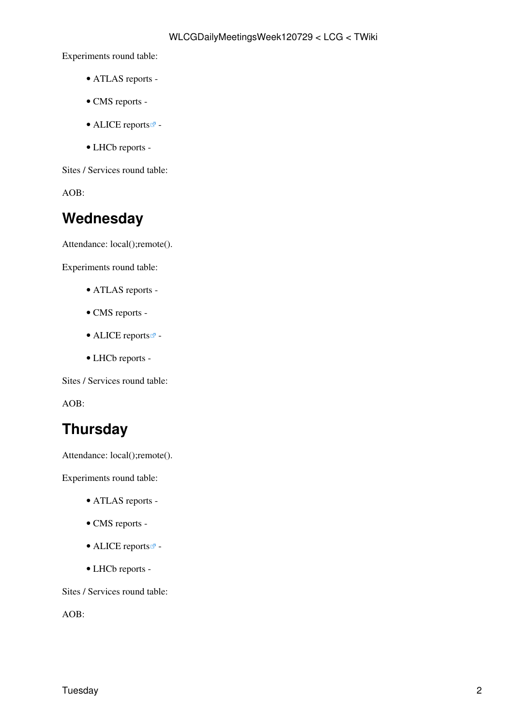Experiments round table:

- ATLAS [reports](https://twiki.cern.ch/twiki/bin/view/Atlas/ADCOperationsDailyReports) -
- CMS [reports](https://twiki.cern.ch/twiki/bin/view/CMS/FacOps_WLCGdailyreports) -
- ALICE [reports](http://alien2.cern.ch/index.php?option=com_content&view=article&id=75&Itemid=129)  $\blacksquare$  -
- LHCb [reports](https://twiki.cern.ch/twiki/bin/view/LHCb/ProductionOperationsWLCGdailyReports) -

Sites / Services round table:

AOB:

### <span id="page-2-0"></span>**Wednesday**

Attendance: local();remote().

Experiments round table:

- ATLAS [reports](https://twiki.cern.ch/twiki/bin/view/Atlas/ADCOperationsDailyReports) -
- CMS [reports](https://twiki.cern.ch/twiki/bin/view/CMS/FacOps_WLCGdailyreports) -
- ALICE [reports](http://alien2.cern.ch/index.php?option=com_content&view=article&id=75&Itemid=129) $\blacksquare$ -
- LHCb [reports](https://twiki.cern.ch/twiki/bin/view/LHCb/ProductionOperationsWLCGdailyReports) -

Sites / Services round table:

AOB:

### <span id="page-2-1"></span>**Thursday**

Attendance: local();remote().

Experiments round table:

- ATLAS [reports](https://twiki.cern.ch/twiki/bin/view/Atlas/ADCOperationsDailyReports) -
- CMS [reports](https://twiki.cern.ch/twiki/bin/view/CMS/FacOps_WLCGdailyreports) -
- $\bullet$  ALICE [reports](http://alien2.cern.ch/index.php?option=com_content&view=article&id=75&Itemid=129) $\overline{C}$  -
- LHCb [reports](https://twiki.cern.ch/twiki/bin/view/LHCb/ProductionOperationsWLCGdailyReports) -

Sites / Services round table:

AOB: